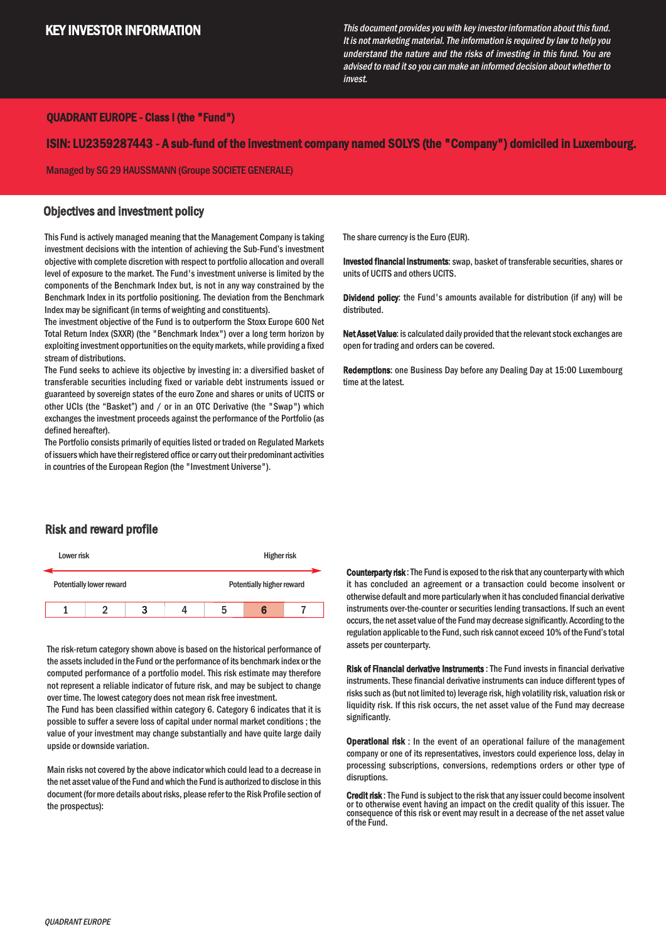# KEY INVESTOR INFORMATION

This document provides you with key investor information about this fund. It is not marketing material. The information is required by law to help you understand the nature and the risks of investing in this fund. You are advised to read it so you can make an informed decision about whether to invest.

### QUADRANT EUROPE - Class I (the "Fund")

ISIN: LU2359287443 - A sub-fund of the investment company named SOLYS (the "Company") domiciled in Luxembourg.

Managed by SG 29 HAUSSMANN (Groupe SOCIETE GENERALE)

#### Objectives and investment policy

This Fund is actively managed meaning that the Management Company istaking investment decisions with the intention of achieving the Sub-Fund's investment objective with complete discretion with respect to portfolio allocation and overall level of exposure to the market. The Fund's investment universe is limited by the components of the Benchmark Index but, is not in any way constrained by the Benchmark Index in its portfolio positioning. The deviation from the Benchmark Index may be significant (in terms of weighting and constituents).

The investment objective of the Fund is to outperform the Stoxx Europe 600 Net Total Return Index (SXXR) (the "Benchmark Index") over a long term horizon by exploiting investment opportunities on the equity markets, while providing a fixed stream of distributions.

The Fund seeks to achieve its objective by investing in: a diversified basket of transferable securities including fixed or variable debt instruments issued or guaranteed by sovereign states of the euro Zone and shares or units of UCITS or other UCIs (the "Basket") and / or in an OTC Derivative (the "Swap") which exchanges the investment proceeds against the performance of the Portfolio (as defined hereafter).

The Portfolio consists primarily of equities listed or traded on Regulated Markets of issuers which have their registered office or carry out their predominant activities in countries of the European Region (the "Investment Universe").

The share currency is the Euro (EUR).

Invested financial instruments: swap, basket of transferable securities, shares or units of UCITS and others UCITS.

Dividend policy: the Fund's amounts available for distribution (if any) will be distributed.

Net Asset Value: is calculated daily provided that the relevant stock exchanges are open for trading and orders can be covered.

Redemptions: one Business Day before any Dealing Day at 15:00 Luxembourg time at the latest.

### Risk and reward profile



The risk-return category shown above is based on the historical performance of the assetsincluded in the Fund or the performance of its benchmark index or the computed performance of a portfolio model. This risk estimate may therefore not represent a reliable indicator of future risk, and may be subject to change over time.The lowest category does not mean risk free investment.

The Fund has been classified within category 6. Category 6 indicates that it is possible to suffer a severe loss of capital under normal market conditions ; the value of your investment may change substantially and have quite large daily upside or downside variation.

Main risks not covered by the above indicator which could lead to a decrease in the net assetvalue of the Fund and which the Fund is authorized to disclose in this document (formore details about risks, please refer to the Risk Profile section of the prospectus):

Counterparty risk: The Fund is exposed to the risk that any counterparty with which it has concluded an agreement or a transaction could become insolvent or otherwise default and more particularly when it has concluded financial derivative instruments over-the-counter or securities lending transactions. If such an event occurs, the net asset value of the Fund may decrease significantly. According to the regulation applicable to the Fund, such risk cannot exceed 10% of the Fund's total assets per counterparty.

Risk of Financial derivative Instruments : The Fund invests in financial derivative instruments. These financial derivative instruments can induce different types of risks such as (but not limited to) leverage risk, high volatility risk, valuation risk or liquidity risk. If this risk occurs, the net asset value of the Fund may decrease significantly.

Operational risk : In the event of an operational failure of the management company or one of its representatives, investors could experience loss, delay in processing subscriptions, conversions, redemptions orders or other type of disruptions.

Credit risk: The Fund is subject to the risk that any issuer could become insolvent or to otherwise event having an impact on the credit quality of this issuer. The consequence of this risk or event may result in a decrease of the net asset value of the Fund.